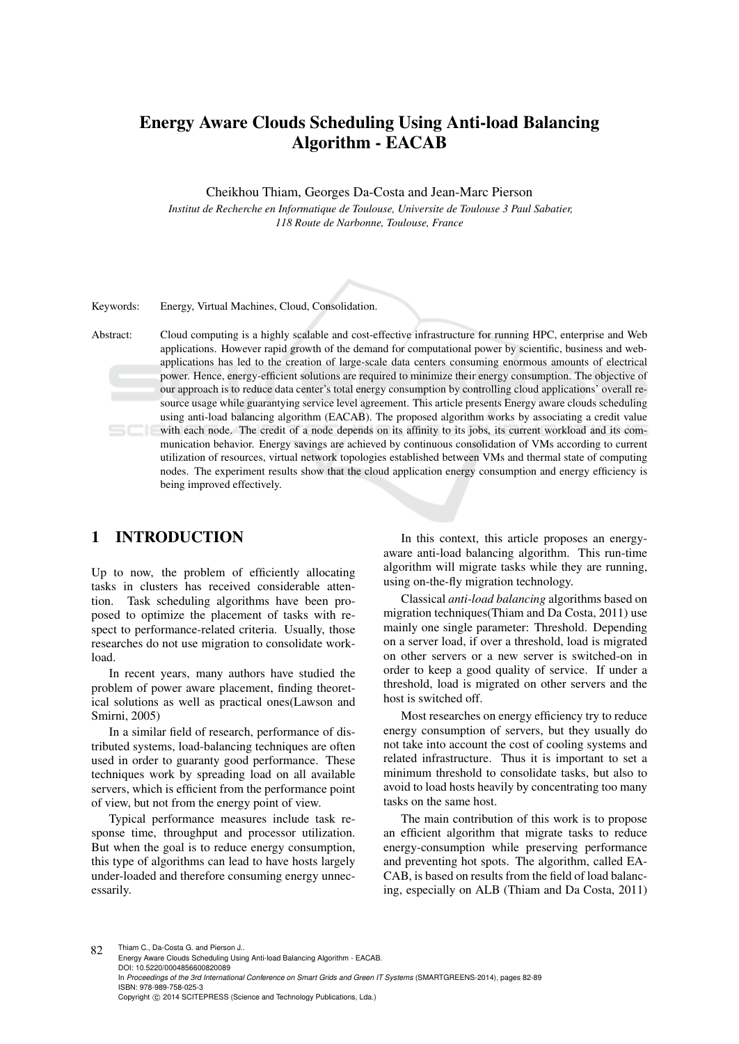# Energy Aware Clouds Scheduling Using Anti-load Balancing Algorithm - EACAB

Cheikhou Thiam, Georges Da-Costa and Jean-Marc Pierson

*Institut de Recherche en Informatique de Toulouse, Universite de Toulouse 3 Paul Sabatier, 118 Route de Narbonne, Toulouse, France*

Keywords: Energy, Virtual Machines, Cloud, Consolidation.

Abstract: Cloud computing is a highly scalable and cost-effective infrastructure for running HPC, enterprise and Web applications. However rapid growth of the demand for computational power by scientific, business and webapplications has led to the creation of large-scale data centers consuming enormous amounts of electrical power. Hence, energy-efficient solutions are required to minimize their energy consumption. The objective of our approach is to reduce data center's total energy consumption by controlling cloud applications' overall resource usage while guarantying service level agreement. This article presents Energy aware clouds scheduling using anti-load balancing algorithm (EACAB). The proposed algorithm works by associating a credit value with each node. The credit of a node depends on its affinity to its jobs, its current workload and its communication behavior. Energy savings are achieved by continuous consolidation of VMs according to current utilization of resources, virtual network topologies established between VMs and thermal state of computing nodes. The experiment results show that the cloud application energy consumption and energy efficiency is being improved effectively.

## 1 INTRODUCTION

Up to now, the problem of efficiently allocating tasks in clusters has received considerable attention. Task scheduling algorithms have been proposed to optimize the placement of tasks with respect to performance-related criteria. Usually, those researches do not use migration to consolidate workload.

In recent years, many authors have studied the problem of power aware placement, finding theoretical solutions as well as practical ones(Lawson and Smirni, 2005)

In a similar field of research, performance of distributed systems, load-balancing techniques are often used in order to guaranty good performance. These techniques work by spreading load on all available servers, which is efficient from the performance point of view, but not from the energy point of view.

Typical performance measures include task response time, throughput and processor utilization. But when the goal is to reduce energy consumption, this type of algorithms can lead to have hosts largely under-loaded and therefore consuming energy unnecessarily.

In this context, this article proposes an energyaware anti-load balancing algorithm. This run-time algorithm will migrate tasks while they are running, using on-the-fly migration technology.

Classical *anti-load balancing* algorithms based on migration techniques(Thiam and Da Costa, 2011) use mainly one single parameter: Threshold. Depending on a server load, if over a threshold, load is migrated on other servers or a new server is switched-on in order to keep a good quality of service. If under a threshold, load is migrated on other servers and the host is switched off.

Most researches on energy efficiency try to reduce energy consumption of servers, but they usually do not take into account the cost of cooling systems and related infrastructure. Thus it is important to set a minimum threshold to consolidate tasks, but also to avoid to load hosts heavily by concentrating too many tasks on the same host.

The main contribution of this work is to propose an efficient algorithm that migrate tasks to reduce energy-consumption while preserving performance and preventing hot spots. The algorithm, called EA-CAB, is based on results from the field of load balancing, especially on ALB (Thiam and Da Costa, 2011)

82 Thiam C., Da-Costa G. and Pierson J.. Energy Aware Clouds Scheduling Using Anti-load Balancing Algorithm - EACAB. DOI: 10.5220/0004856600820089 In *Proceedings of the 3rd International Conference on Smart Grids and Green IT Systems* (SMARTGREENS-2014), pages 82-89 ISBN: 978-989-758-025-3 Copyright © 2014 SCITEPRESS (Science and Technology Publications, Lda.)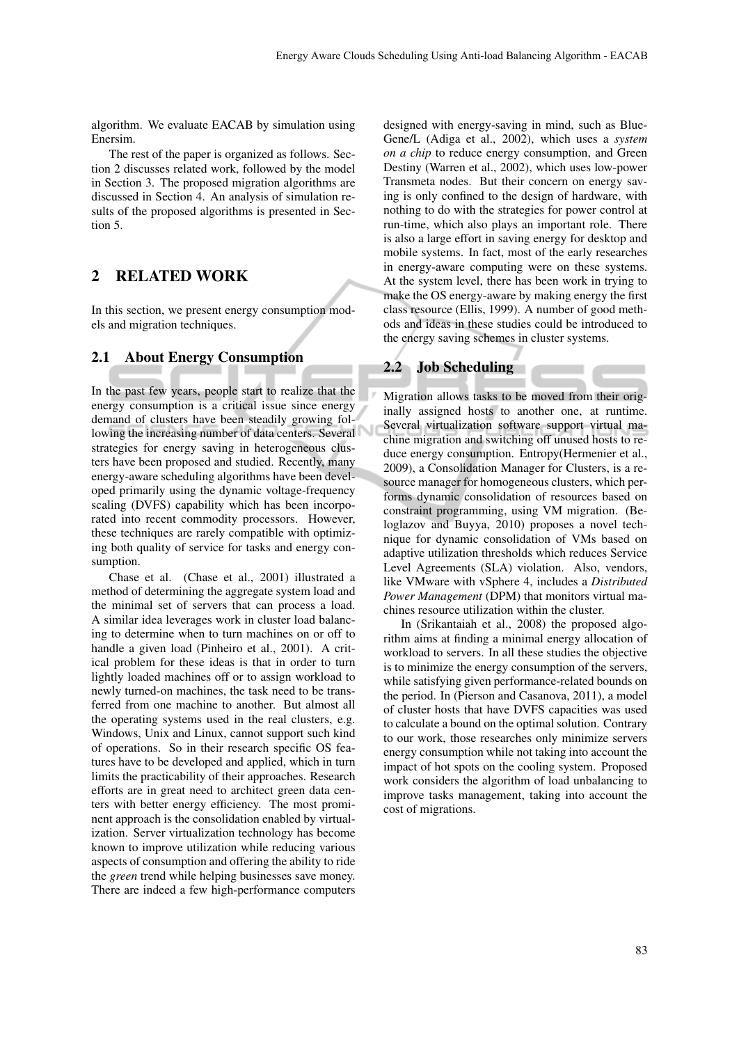algorithm. We evaluate EACAB by simulation using Enersim.

The rest of the paper is organized as follows. Section 2 discusses related work, followed by the model in Section 3. The proposed migration algorithms are discussed in Section 4. An analysis of simulation results of the proposed algorithms is presented in Section 5.

# 2 RELATED WORK

In this section, we present energy consumption models and migration techniques.

#### 2.1 About Energy Consumption

In the past few years, people start to realize that the energy consumption is a critical issue since energy demand of clusters have been steadily growing following the increasing number of data centers. Several strategies for energy saving in heterogeneous clusters have been proposed and studied. Recently, many energy-aware scheduling algorithms have been developed primarily using the dynamic voltage-frequency scaling (DVFS) capability which has been incorporated into recent commodity processors. However, these techniques are rarely compatible with optimizing both quality of service for tasks and energy consumption.

Chase et al. (Chase et al., 2001) illustrated a method of determining the aggregate system load and the minimal set of servers that can process a load. A similar idea leverages work in cluster load balancing to determine when to turn machines on or off to handle a given load (Pinheiro et al., 2001). A critical problem for these ideas is that in order to turn lightly loaded machines off or to assign workload to newly turned-on machines, the task need to be transferred from one machine to another. But almost all the operating systems used in the real clusters, e.g. Windows, Unix and Linux, cannot support such kind of operations. So in their research specific OS features have to be developed and applied, which in turn limits the practicability of their approaches. Research efforts are in great need to architect green data centers with better energy efficiency. The most prominent approach is the consolidation enabled by virtualization. Server virtualization technology has become known to improve utilization while reducing various aspects of consumption and offering the ability to ride the *green* trend while helping businesses save money. There are indeed a few high-performance computers designed with energy-saving in mind, such as Blue-Gene/L (Adiga et al., 2002), which uses a *system on a chip* to reduce energy consumption, and Green Destiny (Warren et al., 2002), which uses low-power Transmeta nodes. But their concern on energy saving is only confined to the design of hardware, with nothing to do with the strategies for power control at run-time, which also plays an important role. There is also a large effort in saving energy for desktop and mobile systems. In fact, most of the early researches in energy-aware computing were on these systems. At the system level, there has been work in trying to make the OS energy-aware by making energy the first class resource (Ellis, 1999). A number of good methods and ideas in these studies could be introduced to the energy saving schemes in cluster systems.

#### 2.2 Job Scheduling

Migration allows tasks to be moved from their originally assigned hosts to another one, at runtime. Several virtualization software support virtual machine migration and switching off unused hosts to reduce energy consumption. Entropy(Hermenier et al., 2009), a Consolidation Manager for Clusters, is a resource manager for homogeneous clusters, which performs dynamic consolidation of resources based on constraint programming, using VM migration. (Beloglazov and Buyya, 2010) proposes a novel technique for dynamic consolidation of VMs based on adaptive utilization thresholds which reduces Service Level Agreements (SLA) violation. Also, vendors, like VMware with vSphere 4, includes a *Distributed Power Management* (DPM) that monitors virtual machines resource utilization within the cluster.

In (Srikantaiah et al., 2008) the proposed algorithm aims at finding a minimal energy allocation of workload to servers. In all these studies the objective is to minimize the energy consumption of the servers, while satisfying given performance-related bounds on the period. In (Pierson and Casanova, 2011), a model of cluster hosts that have DVFS capacities was used to calculate a bound on the optimal solution. Contrary to our work, those researches only minimize servers energy consumption while not taking into account the impact of hot spots on the cooling system. Proposed work considers the algorithm of load unbalancing to improve tasks management, taking into account the cost of migrations.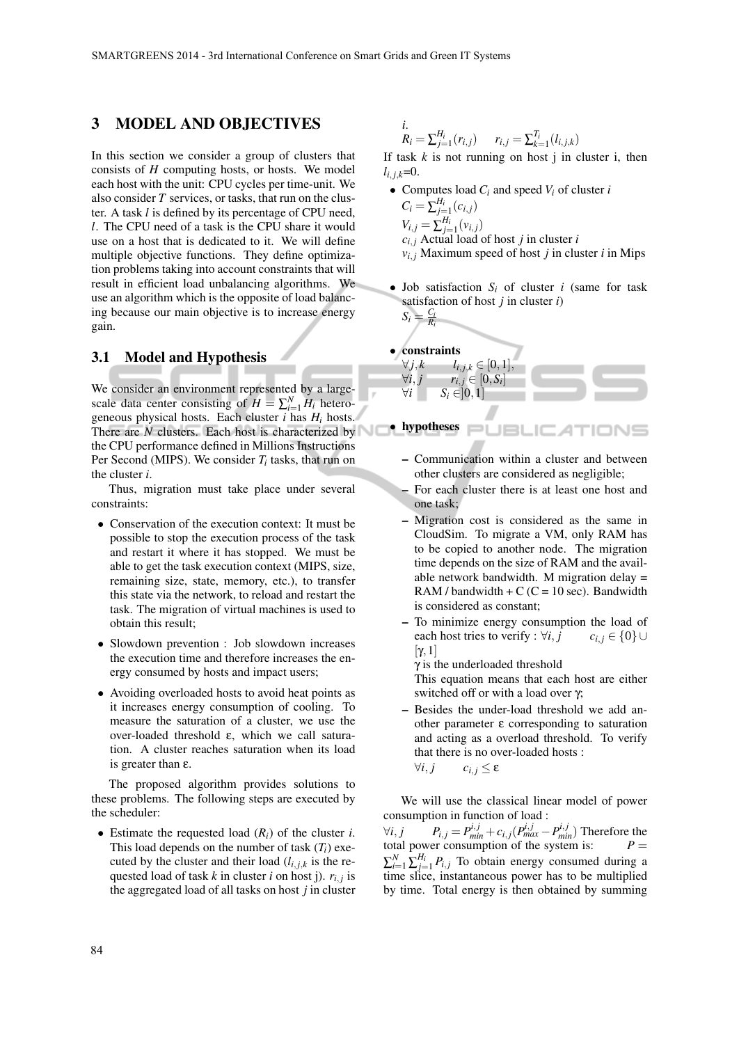### 3 MODEL AND OBJECTIVES

In this section we consider a group of clusters that consists of *H* computing hosts, or hosts. We model each host with the unit: CPU cycles per time-unit. We also consider *T* services, or tasks, that run on the cluster. A task *l* is defined by its percentage of CPU need, *l*. The CPU need of a task is the CPU share it would use on a host that is dedicated to it. We will define multiple objective functions. They define optimization problems taking into account constraints that will result in efficient load unbalancing algorithms. We use an algorithm which is the opposite of load balancing because our main objective is to increase energy gain.

#### 3.1 Model and Hypothesis

We consider an environment represented by a largescale data center consisting of  $H = \sum_{i=1}^{N} H_i$  heterogeneous physical hosts. Each cluster *i* has *H<sup>i</sup>* hosts. There are *N* clusters. Each host is characterized by the CPU performance defined in Millions Instructions Per Second (MIPS). We consider *T<sup>i</sup>* tasks, that run on the cluster *i*.

Thus, migration must take place under several constraints:

- *•* Conservation of the execution context: It must be possible to stop the execution process of the task and restart it where it has stopped. We must be able to get the task execution context (MIPS, size, remaining size, state, memory, etc.), to transfer this state via the network, to reload and restart the task. The migration of virtual machines is used to obtain this result;
- Slowdown prevention : Job slowdown increases the execution time and therefore increases the energy consumed by hosts and impact users;
- Avoiding overloaded hosts to avoid heat points as it increases energy consumption of cooling. To measure the saturation of a cluster, we use the over-loaded threshold ε, which we call saturation. A cluster reaches saturation when its load is greater than ε.

The proposed algorithm provides solutions to these problems. The following steps are executed by the scheduler:

*•* Estimate the requested load (*Ri*) of the cluster *i*. This load depends on the number of task  $(T_i)$  executed by the cluster and their load  $(l_{i,j,k})$  is the requested load of task *k* in cluster *i* on host j). *ri, <sup>j</sup>* is the aggregated load of all tasks on host *j* in cluster

*i*.  
\n
$$
R_i = \sum_{j=1}^{H_i} (r_{i,j}) \qquad r_{i,j} = \sum_{k=1}^{T_i} (l_{i,j,k})
$$

If task  $k$  is not running on host  $j$  in cluster  $i$ , then  $l_{i,j,k}=0$ .

- *•* Computes load *C<sup>i</sup>* and speed *V<sup>i</sup>* of cluster *i*  $C_i = \sum_{j=1}^{H_i} (c_{i,j})$  $V_{i,j} = \sum_{j=1}^{H_i} (v_{i,j})$ *ci, <sup>j</sup>* Actual load of host *j* in cluster *i*  $v_{i,j}$  Maximum speed of host *j* in cluster *i* in Mips
- *•* Job satisfaction *S<sup>i</sup>* of cluster *i* (same for task satisfaction of host *j* in cluster *i*)

$$
S_i = \frac{C_i}{R_i}
$$



- *•* hypotheses
	- Communication within a cluster and between other clusters are considered as negligible;
	- For each cluster there is at least one host and one task;
	- Migration cost is considered as the same in CloudSim. To migrate a VM, only RAM has to be copied to another node. The migration time depends on the size of RAM and the available network bandwidth. M migration delay = RAM / bandwidth +  $C$  ( $C = 10$  sec). Bandwidth is considered as constant;
	- To minimize energy consumption the load of each host tries to verify :  $\forall i, j \quad c_{i,j} \in \{0\} \cup$ [γ*,*1]

γ is the underloaded threshold

This equation means that each host are either switched off or with a load over γ;

– Besides the under-load threshold we add another parameter ε corresponding to saturation and acting as a overload threshold. To verify that there is no over-loaded hosts :  $\forall i, j$   $c_{i,j}$  ≤ ε

We will use the classical linear model of power consumption in function of load :

 $\forall i, j$   $P_{i,j} = P_{min}^{i,j} + c_{i,j} (P_{max}^{i,j} - P_{min}^{i,j})$  Therefore the total power consumption of the system is:  $P =$  $\sum_{i=1}^{N} \sum_{j=1}^{H_i} P_{i,j}$  To obtain energy consumed during a time slice, instantaneous power has to be multiplied by time. Total energy is then obtained by summing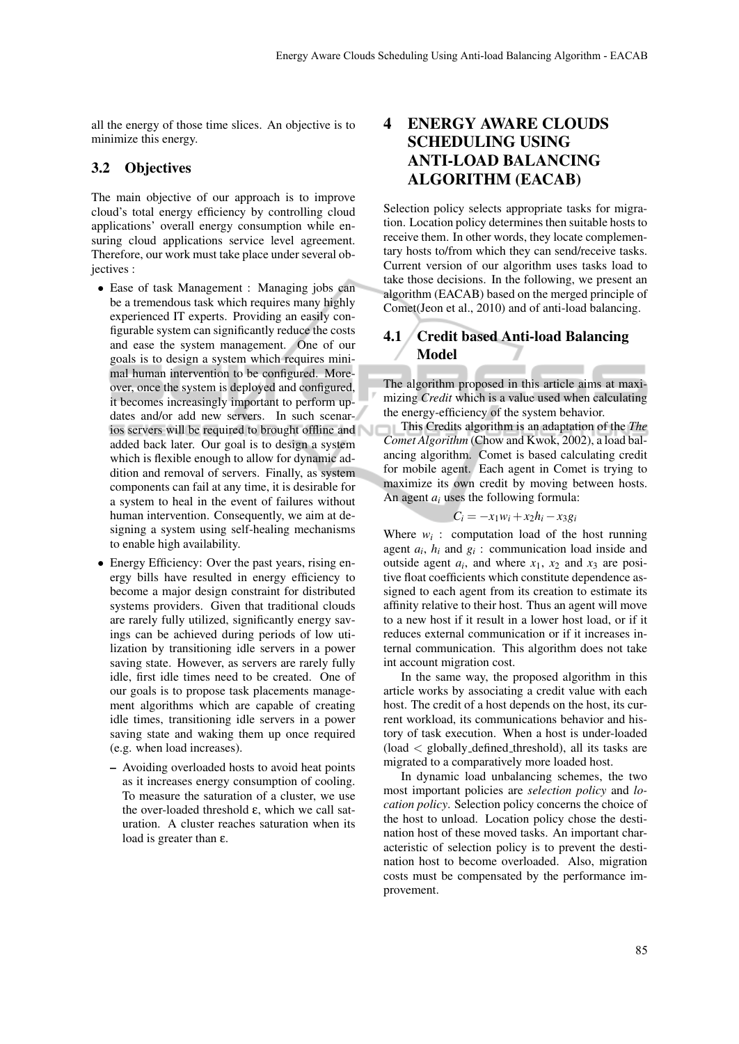all the energy of those time slices. An objective is to minimize this energy.

#### 3.2 Objectives

The main objective of our approach is to improve cloud's total energy efficiency by controlling cloud applications' overall energy consumption while ensuring cloud applications service level agreement. Therefore, our work must take place under several objectives :

- *•* Ease of task Management : Managing jobs can be a tremendous task which requires many highly experienced IT experts. Providing an easily configurable system can significantly reduce the costs and ease the system management. One of our goals is to design a system which requires minimal human intervention to be configured. Moreover, once the system is deployed and configured, it becomes increasingly important to perform updates and/or add new servers. In such scenarios servers will be required to brought offline and added back later. Our goal is to design a system which is flexible enough to allow for dynamic addition and removal of servers. Finally, as system components can fail at any time, it is desirable for a system to heal in the event of failures without human intervention. Consequently, we aim at designing a system using self-healing mechanisms to enable high availability.
- *•* Energy Efficiency: Over the past years, rising energy bills have resulted in energy efficiency to become a major design constraint for distributed systems providers. Given that traditional clouds are rarely fully utilized, significantly energy savings can be achieved during periods of low utilization by transitioning idle servers in a power saving state. However, as servers are rarely fully idle, first idle times need to be created. One of our goals is to propose task placements management algorithms which are capable of creating idle times, transitioning idle servers in a power saving state and waking them up once required (e.g. when load increases).
	- Avoiding overloaded hosts to avoid heat points as it increases energy consumption of cooling. To measure the saturation of a cluster, we use the over-loaded threshold ε, which we call saturation. A cluster reaches saturation when its load is greater than ε.

# 4 ENERGY AWARE CLOUDS SCHEDULING USING ANTI-LOAD BALANCING ALGORITHM (EACAB)

Selection policy selects appropriate tasks for migration. Location policy determines then suitable hosts to receive them. In other words, they locate complementary hosts to/from which they can send/receive tasks. Current version of our algorithm uses tasks load to take those decisions. In the following, we present an algorithm (EACAB) based on the merged principle of Comet(Jeon et al., 2010) and of anti-load balancing.

## 4.1 Credit based Anti-load Balancing Model

The algorithm proposed in this article aims at maximizing *Credit* which is a value used when calculating the energy-efficiency of the system behavior.

This Credits algorithm is an adaptation of the *The Comet Algorithm* (Chow and Kwok, 2002), a load balancing algorithm. Comet is based calculating credit for mobile agent. Each agent in Comet is trying to maximize its own credit by moving between hosts. An agent *a<sup>i</sup>* uses the following formula:

$$
C_i = -x_1w_i + x_2h_i - x_3g_i
$$

Where  $w_i$ : computation load of the host running agent *a<sup>i</sup>* , *h<sup>i</sup>* and *g<sup>i</sup>* : communication load inside and outside agent  $a_i$ , and where  $x_1$ ,  $x_2$  and  $x_3$  are positive float coefficients which constitute dependence assigned to each agent from its creation to estimate its affinity relative to their host. Thus an agent will move to a new host if it result in a lower host load, or if it reduces external communication or if it increases internal communication. This algorithm does not take int account migration cost.

In the same way, the proposed algorithm in this article works by associating a credit value with each host. The credit of a host depends on the host, its current workload, its communications behavior and history of task execution. When a host is under-loaded (load *<* globally defined threshold), all its tasks are migrated to a comparatively more loaded host.

In dynamic load unbalancing schemes, the two most important policies are *selection policy* and *location policy*. Selection policy concerns the choice of the host to unload. Location policy chose the destination host of these moved tasks. An important characteristic of selection policy is to prevent the destination host to become overloaded. Also, migration costs must be compensated by the performance improvement.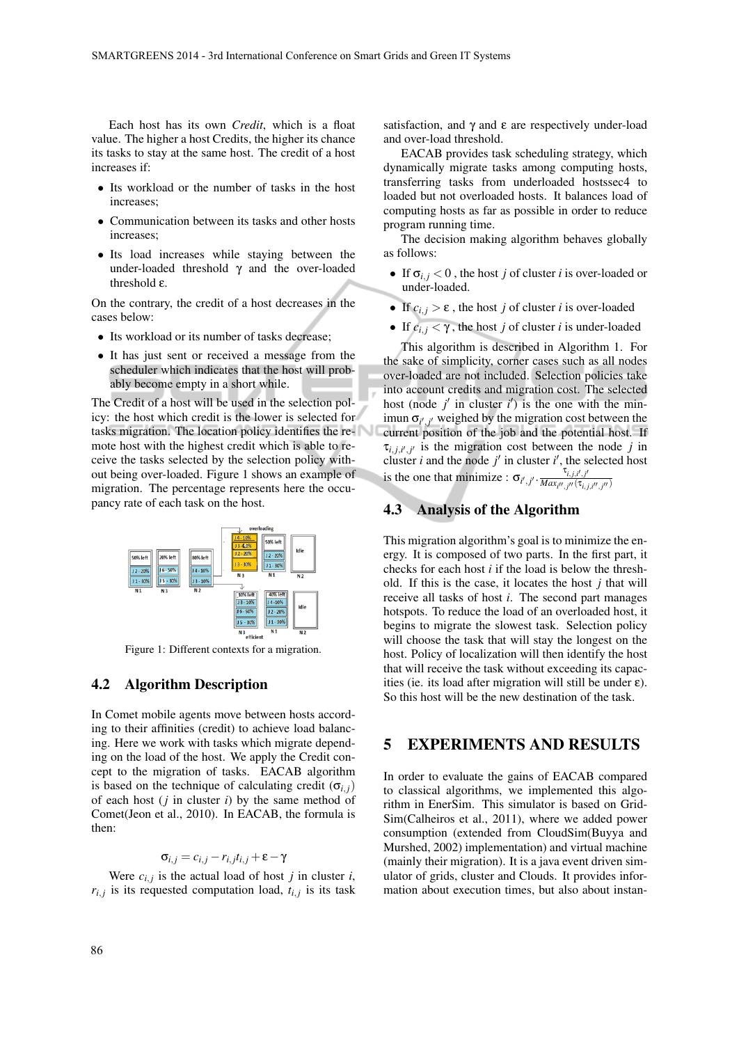Each host has its own *Credit*, which is a float value. The higher a host Credits, the higher its chance its tasks to stay at the same host. The credit of a host increases if:

- *•* Its workload or the number of tasks in the host increases;
- *•* Communication between its tasks and other hosts increases;
- *•* Its load increases while staying between the under-loaded threshold  $\gamma$  and the over-loaded threshold ε.

On the contrary, the credit of a host decreases in the cases below:

- Its workload or its number of tasks decrease;
- *•* It has just sent or received a message from the scheduler which indicates that the host will probably become empty in a short while.

The Credit of a host will be used in the selection policy: the host which credit is the lower is selected for tasks migration. The location policy identifies the remote host with the highest credit which is able to receive the tasks selected by the selection policy without being over-loaded. Figure 1 shows an example of migration. The percentage represents here the occupancy rate of each task on the host.



Figure 1: Different contexts for a migration.

#### 4.2 Algorithm Description

In Comet mobile agents move between hosts according to their affinities (credit) to achieve load balancing. Here we work with tasks which migrate depending on the load of the host. We apply the Credit concept to the migration of tasks. EACAB algorithm is based on the technique of calculating credit ( $\sigma$ <sup>*i*</sup>, *j*) of each host (*j* in cluster *i*) by the same method of Comet(Jeon et al., 2010). In EACAB, the formula is then:

 $\sigma_{i,j} = c_{i,j} - r_{i,j}t_{i,j} + \varepsilon - \gamma$ 

Were  $c_{i,j}$  is the actual load of host *j* in cluster *i*,  $r_{i,j}$  is its requested computation load,  $t_{i,j}$  is its task satisfaction, and  $\gamma$  and  $\varepsilon$  are respectively under-load and over-load threshold.

EACAB provides task scheduling strategy, which dynamically migrate tasks among computing hosts, transferring tasks from underloaded hostssec4 to loaded but not overloaded hosts. It balances load of computing hosts as far as possible in order to reduce program running time.

The decision making algorithm behaves globally as follows:

- If  $\sigma_{i,j} < 0$ , the host *j* of cluster *i* is over-loaded or under-loaded.
- If  $c_{i,j} > \varepsilon$ , the host *j* of cluster *i* is over-loaded
- If  $c_{i,j} < \gamma$ , the host *j* of cluster *i* is under-loaded

This algorithm is described in Algorithm 1. For the sake of simplicity, corner cases such as all nodes over-loaded are not included. Selection policies take into account credits and migration cost. The selected host (node  $j'$  in cluster  $i'$ ) is the one with the minimun  $\sigma_{i',j'}$  weighed by the migration cost between the current position of the job and the potential host. If  $\tau_{i,j,i',j'}$  is the migration cost between the node *j* in cluster *i* and the node  $j'$  in cluster  $i'$ , the selected host is the one that minimize :  $\sigma_{i',j'}$ .  $\frac{\tau_{i,j,i',j'}}{Max_{i',j',j',j'}}$  $\overline{Max_{i^{\prime \prime}, j^{\prime \prime}}(\tau_{i, j, i^{\prime \prime}, j^{\prime \prime}})}$ 

### 4.3 Analysis of the Algorithm

This migration algorithm's goal is to minimize the energy. It is composed of two parts. In the first part, it checks for each host *i* if the load is below the threshold. If this is the case, it locates the host *j* that will receive all tasks of host *i*. The second part manages hotspots. To reduce the load of an overloaded host, it begins to migrate the slowest task. Selection policy will choose the task that will stay the longest on the host. Policy of localization will then identify the host that will receive the task without exceeding its capacities (ie. its load after migration will still be under  $\varepsilon$ ). So this host will be the new destination of the task.

### 5 EXPERIMENTS AND RESULTS

In order to evaluate the gains of EACAB compared to classical algorithms, we implemented this algorithm in EnerSim. This simulator is based on Grid-Sim(Calheiros et al., 2011), where we added power consumption (extended from CloudSim(Buyya and Murshed, 2002) implementation) and virtual machine (mainly their migration). It is a java event driven simulator of grids, cluster and Clouds. It provides information about execution times, but also about instan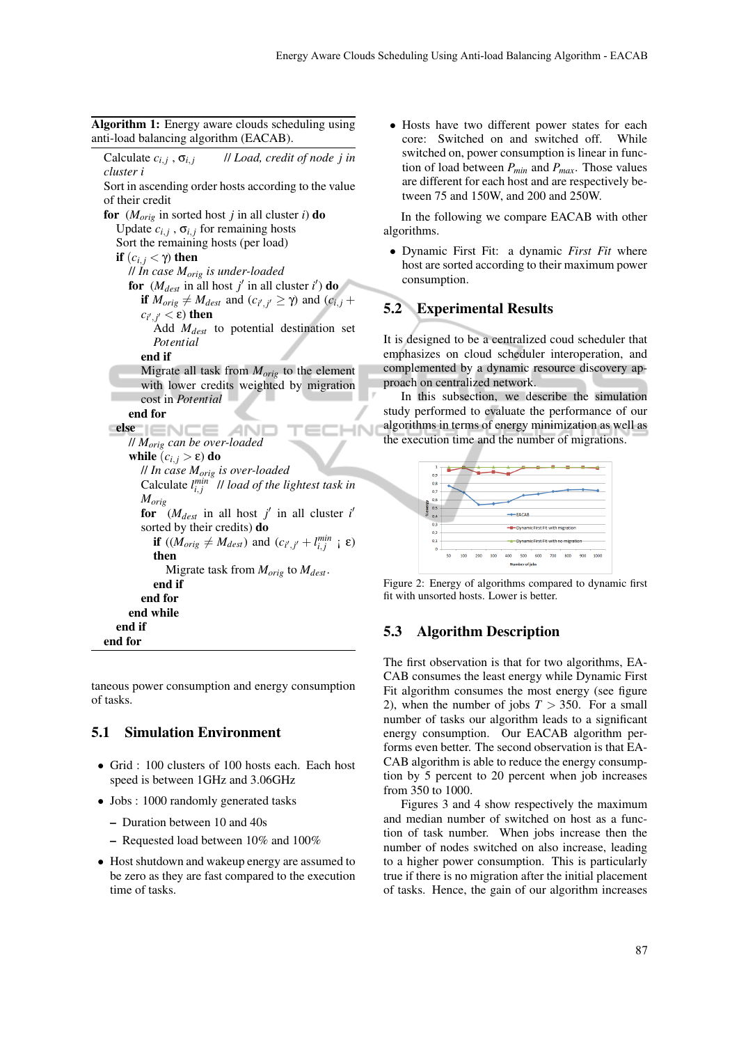Algorithm 1: Energy aware clouds scheduling using anti-load balancing algorithm (EACAB).

Calculate  $c_{i,j}$ ,  $\sigma_{i,j}$ // *Load, credit of node j in cluster i* Sort in ascending order hosts according to the value of their credit for  $(M_{orig}$  in sorted host *j* in all cluster *i*) do Update  $c_{i,j}$ ,  $\sigma_{i,j}$  for remaining hosts Sort the remaining hosts (per load) if  $(c_{i,j} < \gamma)$  then // *In case Morig is under-loaded* for  $(M_{dest} \text{ in all host } j' \text{ in all cluster } i')$  do if  $M_{orig} \neq M_{dest}$  and  $(c_{i',j'} \geq \gamma)$  and  $(c_{i,j} + \gamma)$  $c_{i',j'}$   $<$  ε) then Add *Mdest* to potential destination set *Potential* end if Migrate all task from *Morig* to the element with lower credits weighted by migration cost in *Potential* end for else łN // *Morig can be over-loaded* while  $(c_{i,j} > \varepsilon)$  do // *In case Morig is over-loaded* Calculate  $l_{i,j}^{min}$  // *load of the lightest task in Morig* for  $(M_{dest}$  in all host *j'* in all cluster *i'* sorted by their credits) do if  $((M_{orig} \neq M_{dest})$  and  $(c_{i',j'} + l_{i,j}^{min} \neq \varepsilon)$ then Migrate task from *Morig* to *Mdest*. end if end for end while end if end for

taneous power consumption and energy consumption of tasks.

#### 5.1 Simulation Environment

- *•* Grid : 100 clusters of 100 hosts each. Each host speed is between 1GHz and 3.06GHz
- Jobs : 1000 randomly generated tasks
	- Duration between 10 and 40s
	- Requested load between 10% and 100%
- *•* Host shutdown and wakeup energy are assumed to be zero as they are fast compared to the execution time of tasks.

*•* Hosts have two different power states for each core: Switched on and switched off. While switched on, power consumption is linear in function of load between *Pmin* and *Pmax*. Those values are different for each host and are respectively between 75 and 150W, and 200 and 250W.

In the following we compare EACAB with other algorithms.

*•* Dynamic First Fit: a dynamic *First Fit* where host are sorted according to their maximum power consumption.

### 5.2 Experimental Results

It is designed to be a centralized coud scheduler that emphasizes on cloud scheduler interoperation, and complemented by a dynamic resource discovery approach on centralized network.

In this subsection, we describe the simulation study performed to evaluate the performance of our algorithms in terms of energy minimization as well as the execution time and the number of migrations.



Figure 2: Energy of algorithms compared to dynamic first fit with unsorted hosts. Lower is better.

#### 5.3 Algorithm Description

The first observation is that for two algorithms, EA-CAB consumes the least energy while Dynamic First Fit algorithm consumes the most energy (see figure 2), when the number of jobs  $T > 350$ . For a small number of tasks our algorithm leads to a significant energy consumption. Our EACAB algorithm performs even better. The second observation is that EA-CAB algorithm is able to reduce the energy consumption by 5 percent to 20 percent when job increases from 350 to 1000.

Figures 3 and 4 show respectively the maximum and median number of switched on host as a function of task number. When jobs increase then the number of nodes switched on also increase, leading to a higher power consumption. This is particularly true if there is no migration after the initial placement of tasks. Hence, the gain of our algorithm increases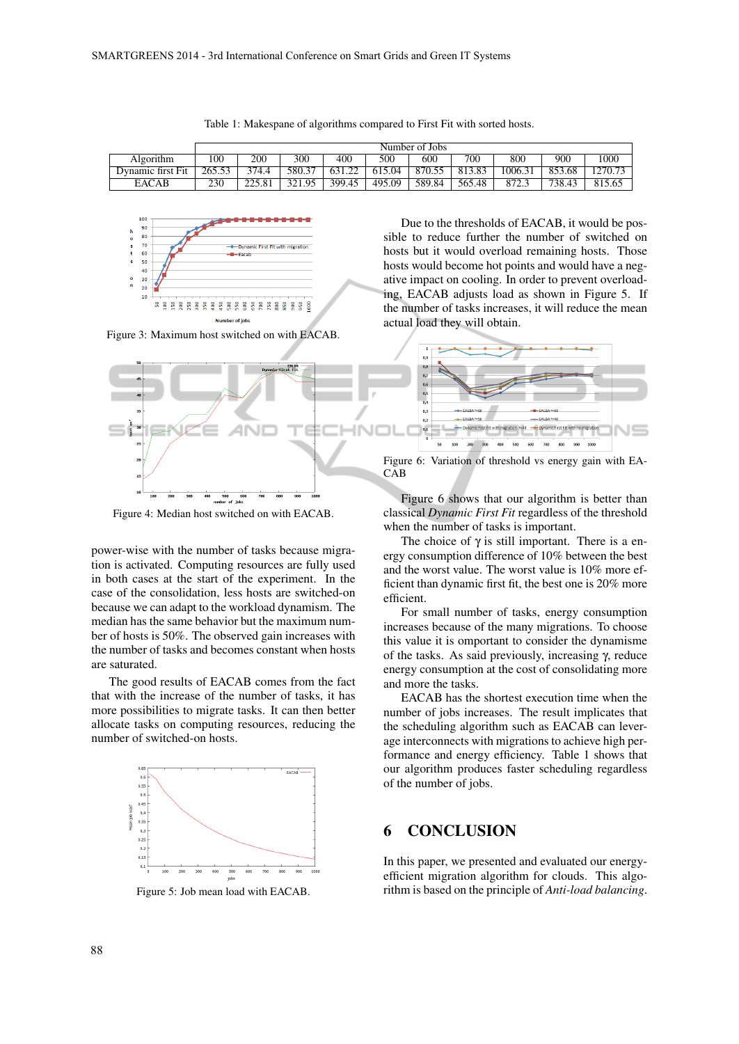|                   | Number of Jobs |        |        |        |        |        |        |         |        |                  |
|-------------------|----------------|--------|--------|--------|--------|--------|--------|---------|--------|------------------|
| Algorithm         | 100            | 200    | 300    | 400    | 500    | 600    | 700    | 800     | 900    | 1000             |
| Dynamic first Fit | 265.53         | 374.4  | 580.37 | 631.22 | 615.04 | 870.55 | 813.83 | 1006.31 | 853.68 | $1270.7^{\circ}$ |
| <b>EACAB</b>      | 230            | 225.81 | 321.95 | 399.45 | 495.09 | 589.84 | 565.48 | 872.3   | 738.43 | 815.65           |





Figure 3: Maximum host switched on with EACAB.



Figure 4: Median host switched on with EACAB.

power-wise with the number of tasks because migration is activated. Computing resources are fully used in both cases at the start of the experiment. In the case of the consolidation, less hosts are switched-on because we can adapt to the workload dynamism. The median has the same behavior but the maximum number of hosts is 50%. The observed gain increases with the number of tasks and becomes constant when hosts are saturated.

The good results of EACAB comes from the fact that with the increase of the number of tasks, it has more possibilities to migrate tasks. It can then better allocate tasks on computing resources, reducing the number of switched-on hosts.



Figure 5: Job mean load with EACAB.

Due to the thresholds of EACAB, it would be possible to reduce further the number of switched on hosts but it would overload remaining hosts. Those hosts would become hot points and would have a negative impact on cooling. In order to prevent overloading, EACAB adjusts load as shown in Figure 5. If the number of tasks increases, it will reduce the mean actual load they will obtain.



Figure 6: Variation of threshold vs energy gain with EA-CAB

Figure 6 shows that our algorithm is better than classical *Dynamic First Fit* regardless of the threshold when the number of tasks is important.

The choice of  $\gamma$  is still important. There is a energy consumption difference of 10% between the best and the worst value. The worst value is 10% more efficient than dynamic first fit, the best one is 20% more efficient.

For small number of tasks, energy consumption increases because of the many migrations. To choose this value it is omportant to consider the dynamisme of the tasks. As said previously, increasing γ, reduce energy consumption at the cost of consolidating more and more the tasks.

EACAB has the shortest execution time when the number of jobs increases. The result implicates that the scheduling algorithm such as EACAB can leverage interconnects with migrations to achieve high performance and energy efficiency. Table 1 shows that our algorithm produces faster scheduling regardless of the number of jobs.

#### 6 CONCLUSION

In this paper, we presented and evaluated our energyefficient migration algorithm for clouds. This algorithm is based on the principle of *Anti-load balancing*.